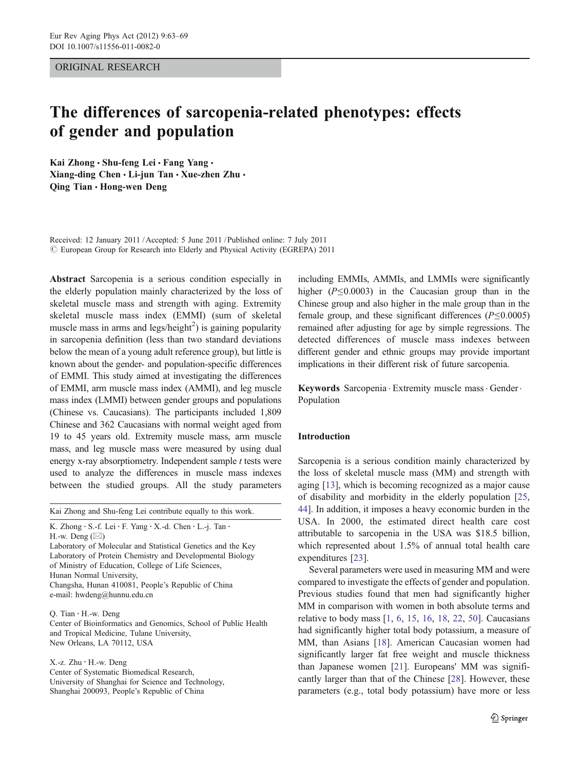ORIGINAL RESEARCH

# The differences of sarcopenia-related phenotypes: effects of gender and population

Kai Zhong · Shu-feng Lei · Fang Yang · Xiang-ding Chen · Li-jun Tan · Xue-zhen Zhu · Qing Tian & Hong-wen Deng

Received: 12 January 2011 /Accepted: 5 June 2011 / Published online: 7 July 2011  $\circled{c}$  European Group for Research into Elderly and Physical Activity (EGREPA) 2011

Abstract Sarcopenia is a serious condition especially in the elderly population mainly characterized by the loss of skeletal muscle mass and strength with aging. Extremity skeletal muscle mass index (EMMI) (sum of skeletal muscle mass in arms and legs/height<sup>2</sup>) is gaining popularity in sarcopenia definition (less than two standard deviations below the mean of a young adult reference group), but little is known about the gender- and population-specific differences of EMMI. This study aimed at investigating the differences of EMMI, arm muscle mass index (AMMI), and leg muscle mass index (LMMI) between gender groups and populations (Chinese vs. Caucasians). The participants included 1,809 Chinese and 362 Caucasians with normal weight aged from 19 to 45 years old. Extremity muscle mass, arm muscle mass, and leg muscle mass were measured by using dual energy x-ray absorptiometry. Independent sample  $t$  tests were used to analyze the differences in muscle mass indexes between the studied groups. All the study parameters

| Kai Zhong and Shu-feng Lei contribute equally to this work. |
|-------------------------------------------------------------|
|                                                             |

```
K. Zhong : S.-f. Lei : F. Yang : X.-d. Chen : L.-j. Tan :
H.-w. Deng (\boxtimes)
```
Laboratory of Molecular and Statistical Genetics and the Key Laboratory of Protein Chemistry and Developmental Biology of Ministry of Education, College of Life Sciences, Hunan Normal University, Changsha, Hunan 410081, People's Republic of China e-mail: hwdeng@hunnu.edu.cn

Q. Tian : H.-w. Deng Center of Bioinformatics and Genomics, School of Public Health and Tropical Medicine, Tulane University, New Orleans, LA 70112, USA

X.-z. Zhu : H.-w. Deng Center of Systematic Biomedical Research, University of Shanghai for Science and Technology, Shanghai 200093, People's Republic of China

including EMMIs, AMMIs, and LMMIs were significantly higher  $(P \le 0.0003)$  in the Caucasian group than in the Chinese group and also higher in the male group than in the female group, and these significant differences  $(P \le 0.0005)$ remained after adjusting for age by simple regressions. The detected differences of muscle mass indexes between different gender and ethnic groups may provide important implications in their different risk of future sarcopenia.

Keywords Sarcopenia . Extremity muscle mass. Gender. Population

# Introduction

Sarcopenia is a serious condition mainly characterized by the loss of skeletal muscle mass (MM) and strength with aging [\[13](#page-5-0)], which is becoming recognized as a major cause of disability and morbidity in the elderly population [[25,](#page-5-0) [44](#page-6-0)]. In addition, it imposes a heavy economic burden in the USA. In 2000, the estimated direct health care cost attributable to sarcopenia in the USA was \$18.5 billion, which represented about 1.5% of annual total health care expenditures [\[23](#page-5-0)].

Several parameters were used in measuring MM and were compared to investigate the effects of gender and population. Previous studies found that men had significantly higher MM in comparison with women in both absolute terms and relative to body mass [[1,](#page-5-0) [6](#page-5-0), [15](#page-5-0), [16,](#page-5-0) [18](#page-5-0), [22](#page-5-0), [50\]](#page-6-0). Caucasians had significantly higher total body potassium, a measure of MM, than Asians [\[18](#page-5-0)]. American Caucasian women had significantly larger fat free weight and muscle thickness than Japanese women [[21\]](#page-5-0). Europeans' MM was significantly larger than that of the Chinese [\[28](#page-5-0)]. However, these parameters (e.g., total body potassium) have more or less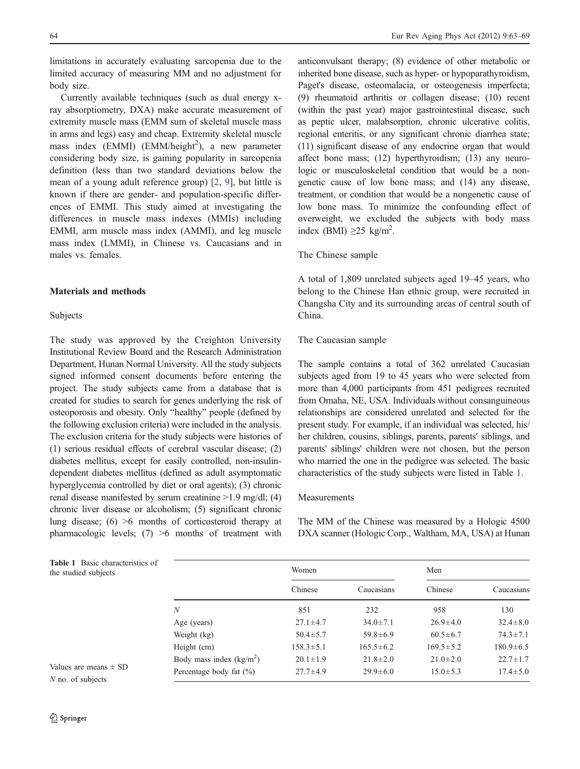<span id="page-1-0"></span>limitations in accurately evaluating sarcopenia due to the limited accuracy of measuring MM and no adjustment for body size.

Currently available techniques (such as dual energy xray absorptiometry, DXA) make accurate measurement of extremity muscle mass (EMM sum of skeletal muscle mass in arms and legs) easy and cheap. Extremity skeletal muscle mass index (EMMI) (EMM/height<sup>2</sup>), a new parameter considering body size, is gaining popularity in sarcopenia definition (less than two standard deviations below the mean of a young adult reference group) [\[2](#page-5-0), [9\]](#page-5-0), but little is known if there are gender- and population-specific differences of EMMI. This study aimed at investigating the differences in muscle mass indexes (MMIs) including EMMI, arm muscle mass index (AMMI), and leg muscle mass index (LMMI), in Chinese vs. Caucasians and in males vs. females.

# Materials and methods

## Subjects

The study was approved by the Creighton University Institutional Review Board and the Research Administration Department, Hunan Normal University. All the study subjects signed informed consent documents before entering the project. The study subjects came from a database that is created for studies to search for genes underlying the risk of osteoporosis and obesity. Only "healthy" people (defined by the following exclusion criteria) were included in the analysis. The exclusion criteria for the study subjects were histories of (1) serious residual effects of cerebral vascular disease; (2) diabetes mellitus, except for easily controlled, non-insulindependent diabetes mellitus (defined as adult asymptomatic hyperglycemia controlled by diet or oral agents); (3) chronic renal disease manifested by serum creatinine >1.9 mg/dl; (4) chronic liver disease or alcoholism; (5) significant chronic lung disease; (6) >6 months of corticosteroid therapy at pharmacologic levels;  $(7) >6$  months of treatment with

Table 1 Basic characteristics of the studied subjects

anticonvulsant therapy; (8) evidence of other metabolic or inherited bone disease, such as hyper- or hypoparathyroidism, Paget's disease, osteomalacia, or osteogenesis imperfecta; (9) rheumatoid arthritis or collagen disease; (10) recent (within the past year) major gastrointestinal disease, such as peptic ulcer, malabsorption, chronic ulcerative colitis, regional enteritis, or any significant chronic diarrhea state; (11) significant disease of any endocrine organ that would affect bone mass; (12) hyperthyroidism; (13) any neurologic or musculoskeletal condition that would be a nongenetic cause of low bone mass; and (14) any disease, treatment, or condition that would be a nongenetic cause of low bone mass. To minimize the confounding effect of overweight, we excluded the subjects with body mass index (BMI)  $\geq$ 25 kg/m<sup>2</sup>.

## The Chinese sample

A total of 1,809 unrelated subjects aged 19–45 years, who belong to the Chinese Han ethnic group, were recruited in Changsha City and its surrounding areas of central south of China.

#### The Caucasian sample

The sample contains a total of 362 unrelated Caucasian subjects aged from 19 to 45 years who were selected from more than 4,000 participants from 451 pedigrees recruited from Omaha, NE, USA. Individuals without consanguineous relationships are considered unrelated and selected for the present study. For example, if an individual was selected, his/ her children, cousins, siblings, parents, parents' siblings, and parents' siblings' children were not chosen, but the person who married the one in the pedigree was selected. The basic characteristics of the study subjects were listed in Table 1.

## Measurements

The MM of the Chinese was measured by a Hologic 4500 DXA scanner (Hologic Corp., Waltham, MA, USA) at Hunan

|                             | Women           |                 | Men             |                 |
|-----------------------------|-----------------|-----------------|-----------------|-----------------|
|                             | Chinese         | Caucasians      | Chinese         | Caucasians      |
| N                           | 851             | 232             | 958             | 130             |
| Age (years)                 | $27.1 \pm 4.7$  | $34.0 \pm 7.1$  | $26.9 \pm 4.0$  | $32.4 \pm 8.0$  |
| Weight (kg)                 | $50.4 \pm 5.7$  | $59.8 \pm 6.9$  | $60.5 \pm 6.7$  | $74.3 \pm 7.1$  |
| Height (cm)                 | $158.3 \pm 5.1$ | $165.5 \pm 6.2$ | $169.5 \pm 5.2$ | $180.9 \pm 6.5$ |
| Body mass index $(kg/m2)$   | $20.1 \pm 1.9$  | $21.8 \pm 2.0$  | $21.0 \pm 2.0$  | $22.7 \pm 1.7$  |
| Percentage body fat $(\% )$ | $27.7 \pm 4.9$  | $29.9 \pm 6.0$  | $15.0 \pm 5.3$  | $17.4 \pm 5.0$  |

Values are means  $\pm$  SD N no. of subjects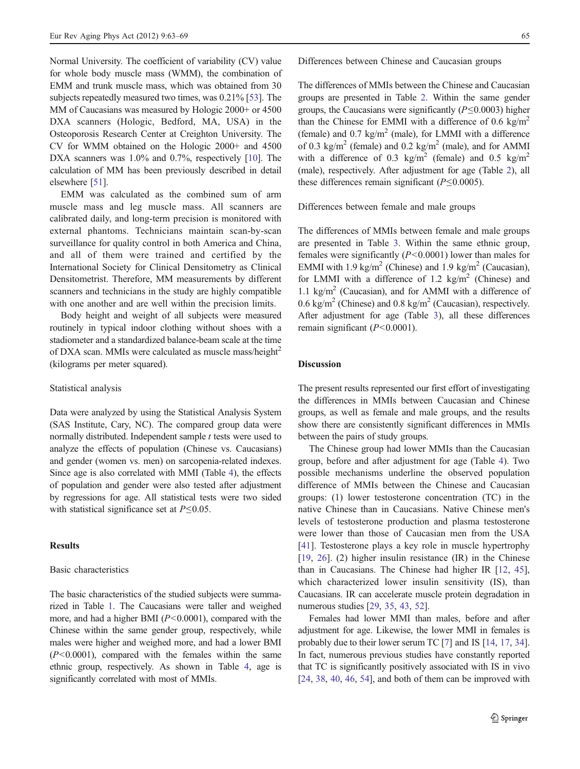Normal University. The coefficient of variability (CV) value for whole body muscle mass (WMM), the combination of EMM and trunk muscle mass, which was obtained from 30 subjects repeatedly measured two times, was 0.21% [[53\]](#page-6-0). The MM of Caucasians was measured by Hologic 2000+ or 4500 DXA scanners (Hologic, Bedford, MA, USA) in the Osteoporosis Research Center at Creighton University. The CV for WMM obtained on the Hologic 2000+ and 4500 DXA scanners was 1.0% and 0.7%, respectively [[10](#page-5-0)]. The calculation of MM has been previously described in detail elsewhere [\[51\]](#page-6-0).

EMM was calculated as the combined sum of arm muscle mass and leg muscle mass. All scanners are calibrated daily, and long-term precision is monitored with external phantoms. Technicians maintain scan-by-scan surveillance for quality control in both America and China, and all of them were trained and certified by the International Society for Clinical Densitometry as Clinical Densitometrist. Therefore, MM measurements by different scanners and technicians in the study are highly compatible with one another and are well within the precision limits.

Body height and weight of all subjects were measured routinely in typical indoor clothing without shoes with a stadiometer and a standardized balance-beam scale at the time of DXA scan. MMIs were calculated as muscle mass/height<sup>2</sup> (kilograms per meter squared).

## Statistical analysis

Data were analyzed by using the Statistical Analysis System (SAS Institute, Cary, NC). The compared group data were normally distributed. Independent sample  $t$  tests were used to analyze the effects of population (Chinese vs. Caucasians) and gender (women vs. men) on sarcopenia-related indexes. Since age is also correlated with MMI (Table [4\)](#page-4-0), the effects of population and gender were also tested after adjustment by regressions for age. All statistical tests were two sided with statistical significance set at  $P \leq 0.05$ .

## Results

## Basic characteristics

The basic characteristics of the studied subjects were summarized in Table [1.](#page-1-0) The Caucasians were taller and weighed more, and had a higher BMI  $(P<0.0001)$ , compared with the Chinese within the same gender group, respectively, while males were higher and weighed more, and had a lower BMI  $(P<0.0001)$ , compared with the females within the same ethnic group, respectively. As shown in Table [4,](#page-4-0) age is significantly correlated with most of MMIs.

Differences between Chinese and Caucasian groups

The differences of MMIs between the Chinese and Caucasian groups are presented in Table [2](#page-3-0). Within the same gender groups, the Caucasians were significantly ( $P \leq 0.0003$ ) higher than the Chinese for EMMI with a difference of 0.6 kg/m<sup>2</sup> (female) and  $0.7 \text{ kg/m}^2$  (male), for LMMI with a difference of 0.3 kg/m<sup>2</sup> (female) and 0.2 kg/m<sup>2</sup> (male), and for AMMI with a difference of 0.3 kg/m<sup>2</sup> (female) and 0.5 kg/m<sup>2</sup> (male), respectively. After adjustment for age (Table [2](#page-3-0)), all these differences remain significant ( $P \le 0.0005$ ).

Differences between female and male groups

The differences of MMIs between female and male groups are presented in Table [3](#page-3-0). Within the same ethnic group, females were significantly  $(P<0.0001)$  lower than males for EMMI with 1.9 kg/m<sup>2</sup> (Chinese) and 1.9 kg/m<sup>2</sup> (Caucasian), for LMMI with a difference of 1.2  $\text{kg/m}^2$  (Chinese) and 1.1 kg/m<sup>2</sup> (Caucasian), and for AMMI with a difference of 0.6 kg/m<sup>2</sup> (Chinese) and 0.8 kg/m<sup>2</sup> (Caucasian), respectively. After adjustment for age (Table [3](#page-3-0)), all these differences remain significant  $(P<0.0001)$ .

# Discussion

The present results represented our first effort of investigating the differences in MMIs between Caucasian and Chinese groups, as well as female and male groups, and the results show there are consistently significant differences in MMIs between the pairs of study groups.

The Chinese group had lower MMIs than the Caucasian group, before and after adjustment for age (Table [4](#page-4-0)). Two possible mechanisms underline the observed population difference of MMIs between the Chinese and Caucasian groups: (1) lower testosterone concentration (TC) in the native Chinese than in Caucasians. Native Chinese men's levels of testosterone production and plasma testosterone were lower than those of Caucasian men from the USA [\[41](#page-6-0)]. Testosterone plays a key role in muscle hypertrophy [\[19](#page-5-0), [26\]](#page-5-0). (2) higher insulin resistance (IR) in the Chinese than in Caucasians. The Chinese had higher IR [[12,](#page-5-0) [45\]](#page-6-0), which characterized lower insulin sensitivity (IS), than Caucasians. IR can accelerate muscle protein degradation in numerous studies [[29](#page-5-0), [35,](#page-6-0) [43](#page-6-0), [52\]](#page-6-0).

Females had lower MMI than males, before and after adjustment for age. Likewise, the lower MMI in females is probably due to their lower serum TC [[7](#page-5-0)] and IS [[14,](#page-5-0) [17,](#page-5-0) [34\]](#page-5-0). In fact, numerous previous studies have constantly reported that TC is significantly positively associated with IS in vivo [\[24](#page-5-0), [38](#page-6-0), [40](#page-6-0), [46](#page-6-0), [54\]](#page-6-0), and both of them can be improved with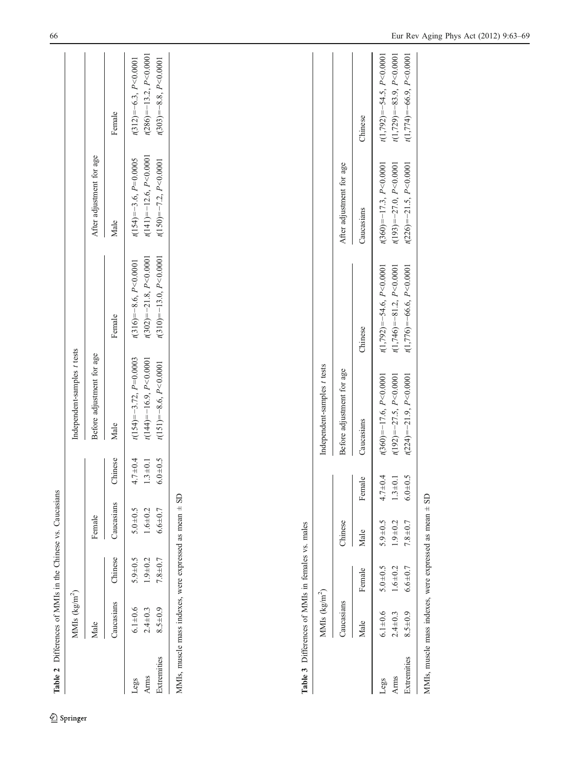<span id="page-3-0"></span>

|                             | MMIs $(kg/m^2)$                                        |                                           |                                           |                                           | Independent-samples t tests                                                               |                                                                                                |                                                                                          |                                                                                            |
|-----------------------------|--------------------------------------------------------|-------------------------------------------|-------------------------------------------|-------------------------------------------|-------------------------------------------------------------------------------------------|------------------------------------------------------------------------------------------------|------------------------------------------------------------------------------------------|--------------------------------------------------------------------------------------------|
|                             | Male                                                   |                                           | Female                                    |                                           | Before adjustment for age                                                                 |                                                                                                | After adjustment for age                                                                 |                                                                                            |
|                             | Caucasians                                             | Chinese                                   | Caucasians                                | Chinese                                   | Male                                                                                      | Female                                                                                         | Male                                                                                     | Female                                                                                     |
| Extremities<br>Arms<br>Legs | $6.1 + 0.6$<br>$8.5 + 0.9$<br>$2.4 + 0.3$              | $5.9 + 0.5$<br>$1.9 + 0.2$<br>$7.8 + 0.7$ | $5.0 + 0.5$<br>$1.6 + 0.2$<br>$6.6 + 0.7$ | $6.0 + 0.5$<br>$4.7 + 0.4$<br>$1.3 + 0.1$ | $t(154) = -3.72, P=0.0003$<br>$t(144) = -16.9, P < 0.0001$<br>$t(151) = -8.6, P < 0.0001$ | $t(302) = -21.8$ , $P < 0.0001$<br>$t(310) = -13.0, P < 0.0001$<br>$t(316) = -8.6, P < 0.0001$ | $t(141) = -12.6, P < 0.0001$<br>$t(154) = -3.6, P=0.0005$<br>$t(150) = -7.2, P < 0.0001$ | $t(286) = -13.2, P < 0.0001$<br>$t(312) = -6.3, P < 0.0001$<br>$t(303) = -8.8, P < 0.0001$ |
|                             | MMIs, muscle mass indexes, were expressed as mean ± SD |                                           |                                           |                                           |                                                                                           |                                                                                                |                                                                                          |                                                                                            |
|                             |                                                        |                                           |                                           |                                           |                                                                                           |                                                                                                |                                                                                          |                                                                                            |
|                             |                                                        |                                           |                                           |                                           |                                                                                           |                                                                                                |                                                                                          |                                                                                            |
|                             |                                                        |                                           |                                           |                                           |                                                                                           |                                                                                                |                                                                                          |                                                                                            |
|                             |                                                        |                                           |                                           |                                           |                                                                                           |                                                                                                |                                                                                          |                                                                                            |
|                             | Table 3 Differences of MMIs in females vs. males       |                                           |                                           |                                           |                                                                                           |                                                                                                |                                                                                          |                                                                                            |
|                             | MMIs $\frac{\text{kg/m}^2}{\text{m}^2}$                |                                           |                                           |                                           | Independent-samples t tests                                                               |                                                                                                |                                                                                          |                                                                                            |

Legs 5.0±0.6 5.0±0.5 5.0±0.5 5.0±0.5 5.0±0.5 5.0±0.5 5.0±0.5 5.0±0.5 5.0±0.5 9<0.0001 t(360)=−54.6, P<0.0001 t(3.9±0.5 P<0.0001 t(3.9±0.5 P<0.0001 t(3.9±0.5 P<0.0001 t(3.9±0.5 P<0.0001 t(3.9±0.5 P<0.0001 t(3.9±0.5 P<0.000  $5.0 + 0.5$  $6.1 + 0.6$ Legs

Caucasians Chinese Chinese Before adjustment for age  $\frac{1}{2}$  and  $\frac{1}{2}$  After adjustment for age

Before adjustment for age

Chinese

Caucasians

Male Female Male Female Caucasians Chinese Caucasians Chinese

Caucasians

Female

Male

Female

Male

Chinese

Arms 2.4±0.3 1.6±0.2 1.6±0.2 1.6±0.2 1.3±0.1 t(1,79±0.1 t(1,79±0.1 t(1,79±0.1 t(1,79±0.1 t(1,79±0.2 p<0.0001 t(1,93.9, P<0.0001 t(1,93.9, P<0.0001 t(1,93.9, P<0.0001 t(1931 t(1,93.9, P<0.0001 t(1,93.9, P<0.0001 t(1,93.9, Extremities 8.5±0.9 6.6±0.7 7.8±0.7 7.8±0.7 6.0±0.5 t(224)=−21.9, P<0.0001 t(226.6, P<0.0001 t(226)=−21.5, P<0.0001 t(1,774)=−66.9, P<0.0001

 $1.3 + 0.1$  $4.7 + 0.4$ 

> $1.6 + 0.2$  $6.6 \pm 0.7$

 $2.4 \pm 0.3$  $8.5 \pm 0.9$ 

Extremities Arms

 $5.9 + 0.5$  $1.9 + 0.2$  $7.8 + 0.7$ 

 $6.0 + 0.5$ 

 $t(360) = -17.6, P < 0.0001$  $t(192) = -27.5, P < 0.0001$  $t(224) = -21.9, P < 0.0001$ 

 $t(1,792) = -54.5, P < 0.0001$  $t(1,729) = -83.9, P < 0.0001$  $t(1,774) = -66.9, P < 0.0001$ 

 $t(360) = -17.3, P < 0.0001$  $t(193) = -27.0, P < 0.0001$  $t(226) = -21.5, P < 0.0001$ 

 $t(1,792) = -54.6, P < 0.0001$  $t(1,746)=81.2, P<0.0001$  $t(1,776) = -66.6, P < 0.0001$ 

Chinese

Caucasians

After adjustment for age

MMIs, muscle mass indexes, were expressed as mean ± SD MMIs, muscle mass indexes, were expressed as mean ± SD

<sup>2</sup> Springer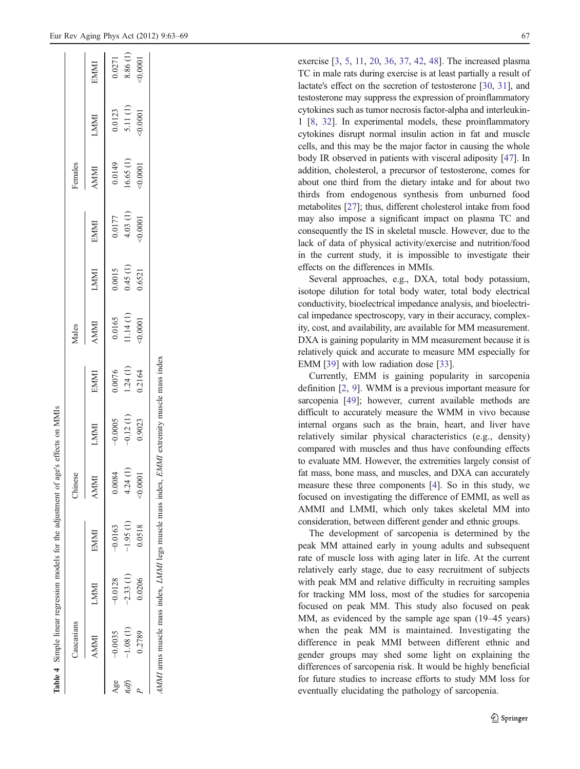<sup>2</sup>emales

exercise [[3](#page-5-0), [5](#page-5-0), [11](#page-5-0), [20](#page-5-0), [36](#page-6-0), [37](#page-6-0), [42](#page-6-0), [48\]](#page-6-0). The increased plasma TC in male rats during exercise is at least partially a result of lactate's effect on the secretion of testosterone [[30](#page-5-0) , [31](#page-5-0)], and testosterone may suppress the expression of proinflammatory cytokines such as tumor necrosis factor-alpha and interleukin-1 [\[8,](#page-5-0) [32\]](#page-5-0). In experimental models, these proinflammatory cytokines disrupt normal insulin action in fat and muscle cells, and this may be the major factor in causing the whole body IR observed in patients with visceral adiposity [[47\]](#page-6-0). In addition, cholesterol, a precursor of testosterone, comes for about one third from the dietary intake and for about two thirds from endogenous synthesis from unburned food metabolites [[27](#page-5-0)]; thus, different cholesterol intake from food may also impose a significant impact on plasma TC and consequently the IS in skeletal muscle. However, due to the lack of data of physical activity/exercise and nutrition/food in the current study, it is impossible to investigate their effects on the differences in MMIs.

Several approaches, e.g., DXA, total body potassium, isotope dilution for total body water, total body electrical conductivity, bioelectrical impedance analysis, and bioelectrical impedance spectroscopy, vary in their accuracy, complexity, cost, and availability, are available for MM measurement. DXA is gaining popularity in MM measurement because it is relatively quick and accurate to measure MM especially for EMM [\[39](#page-6-0)] with low radiation dose [[33](#page-5-0)].

Currently, EMM is gaining popularity in sarcopenia definition [ [2](#page-5-0) , [9\]](#page-5-0). WMM is a previous important measure for sarcopenia [\[49\]](#page-6-0); however, current available methods are difficult to accurately measure the WMM in vivo because internal organs such as the brain, heart, and liver have relatively similar physical characteristics (e.g., density) compared with muscles and thus have confounding effects to evaluate MM. However, the extremities largely consist of fat mass, bone mass, and muscles, and DXA can accurately measure these three components [ [4\]](#page-5-0). So in this study, we focused on investigating the difference of EMMI, as well as AMMI and LMMI, which only takes skeletal MM into consideration, between different gender and ethnic groups.

The development of sarcopenia is determined by the peak MM attained early in young adults and subsequent rate of muscle loss with aging later in life. At the current relatively early stage, due to easy recruitment of subjects with peak MM and relative difficulty in recruiting samples for tracking MM loss, most of the studies for sarcopenia focused on peak MM. This study also focused on peak MM, as evidenced by the sample age span (19 –45 years) when the peak MM is maintained. Investigating the difference in peak MMI between different ethnic and gender groups may shed some light on explaining the differences of sarcopenia risk. It would be highly beneficial for future studies to increase efforts to study MM loss for eventually elucidating the pathology of sarcopenia.

Table 4 Simple linear regression models for the adjustment of age's effects on MMIs Simple linear regression models for the adjustment of age's effects on MMIs

<span id="page-4-0"></span>

| $\frac{0.0123}{5.11(1)}$<br>$-0.0001$<br>LMMI<br>$(1)$<br>$(1)$<br>$(0.0001)$<br>0.0149<br><b>ININI</b><br>$\begin{array}{c} 0.0177 \\ 4.03 \ (1) \\ 0.0001 \end{array}$<br>EMMI<br>$\begin{array}{c} 0.0015 \\ 0.45 \ (1) \end{array}$<br>LMMI<br>0.6521<br>$\begin{array}{c} 0.0165 \\ 11.14 \ (1) \\ 0.0001 \end{array}$<br><b>TNINY</b><br>$\begin{array}{c} 0.0076 \\ 1.24 \ (1) \\ 0.2164 \end{array}$<br>EMMI<br>$-0.12(1)$<br>0.9023<br>$-0.0005$<br>LMMI<br>4.24(1)<br>.0084<br>$-0.0001$<br>NMMA<br>$-1.95(1)$<br>0.0518<br>$-0.0163$<br>EMMI<br>$-0.0128$<br>$-2.33$ (1)<br>0.0206<br>LMMI<br>$\frac{-1.08}{0.2789}$<br>$-0.0035$<br><b>IMMI</b> |  |  |  |  |  |  |                                |
|-------------------------------------------------------------------------------------------------------------------------------------------------------------------------------------------------------------------------------------------------------------------------------------------------------------------------------------------------------------------------------------------------------------------------------------------------------------------------------------------------------------------------------------------------------------------------------------------------------------------------------------------------------------|--|--|--|--|--|--|--------------------------------|
|                                                                                                                                                                                                                                                                                                                                                                                                                                                                                                                                                                                                                                                             |  |  |  |  |  |  | EMMI                           |
|                                                                                                                                                                                                                                                                                                                                                                                                                                                                                                                                                                                                                                                             |  |  |  |  |  |  | 0.0271                         |
|                                                                                                                                                                                                                                                                                                                                                                                                                                                                                                                                                                                                                                                             |  |  |  |  |  |  | $8.86(1)$<br>$(1)$<br>$0.0001$ |
|                                                                                                                                                                                                                                                                                                                                                                                                                                                                                                                                                                                                                                                             |  |  |  |  |  |  |                                |

AMMI arms muscle mass index, LMMI legs muscle mass index, EMMI extremity muscle mass index

AMMI arms muscle mass index, LMMI legs muscle mass index, EMMI extremity muscle mass index

Caucasians Females Chinese Chinese Females Females

Chinese

Caucasians

Males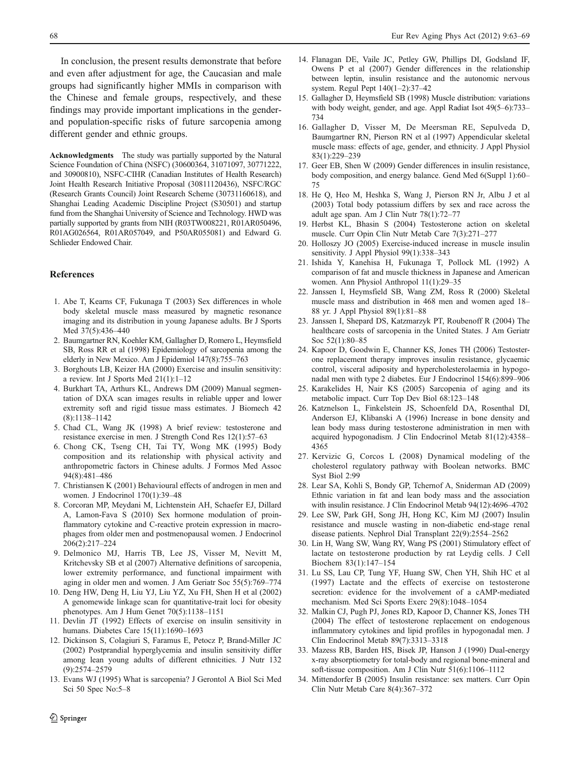<span id="page-5-0"></span>In conclusion, the present results demonstrate that before and even after adjustment for age, the Caucasian and male groups had significantly higher MMIs in comparison with the Chinese and female groups, respectively, and these findings may provide important implications in the genderand population-specific risks of future sarcopenia among different gender and ethnic groups.

Acknowledgments The study was partially supported by the Natural Science Foundation of China (NSFC) (30600364, 31071097, 30771222, and 30900810), NSFC-CIHR (Canadian Institutes of Health Research) Joint Health Research Initiative Proposal (30811120436), NSFC/RGC (Research Grants Council) Joint Research Scheme (30731160618), and Shanghai Leading Academic Discipline Project (S30501) and startup fund from the Shanghai University of Science and Technology. HWD was partially supported by grants from NIH (R03TW008221, R01AR050496, R01AG026564, R01AR057049, and P50AR055081) and Edward G. Schlieder Endowed Chair.

# **References**

- 1. Abe T, Kearns CF, Fukunaga T (2003) Sex differences in whole body skeletal muscle mass measured by magnetic resonance imaging and its distribution in young Japanese adults. Br J Sports Med 37(5):436–440
- 2. Baumgartner RN, Koehler KM, Gallagher D, Romero L, Heymsfield SB, Ross RR et al (1998) Epidemiology of sarcopenia among the elderly in New Mexico. Am J Epidemiol 147(8):755–763
- 3. Borghouts LB, Keizer HA (2000) Exercise and insulin sensitivity: a review. Int J Sports Med 21(1):1–12
- 4. Burkhart TA, Arthurs KL, Andrews DM (2009) Manual segmentation of DXA scan images results in reliable upper and lower extremity soft and rigid tissue mass estimates. J Biomech 42 (8):1138–1142
- 5. Chad CL, Wang JK (1998) A brief review: testosterone and resistance exercise in men. J Strength Cond Res 12(1):57–63
- 6. Chong CK, Tseng CH, Tai TY, Wong MK (1995) Body composition and its relationship with physical activity and anthropometric factors in Chinese adults. J Formos Med Assoc 94(8):481–486
- 7. Christiansen K (2001) Behavioural effects of androgen in men and women. J Endocrinol 170(1):39–48
- 8. Corcoran MP, Meydani M, Lichtenstein AH, Schaefer EJ, Dillard A, Lamon-Fava S (2010) Sex hormone modulation of proinflammatory cytokine and C-reactive protein expression in macrophages from older men and postmenopausal women. J Endocrinol 206(2):217–224
- 9. Delmonico MJ, Harris TB, Lee JS, Visser M, Nevitt M, Kritchevsky SB et al (2007) Alternative definitions of sarcopenia, lower extremity performance, and functional impairment with aging in older men and women. J Am Geriatr Soc 55(5):769–774
- 10. Deng HW, Deng H, Liu YJ, Liu YZ, Xu FH, Shen H et al (2002) A genomewide linkage scan for quantitative-trait loci for obesity phenotypes. Am J Hum Genet 70(5):1138–1151
- 11. Devlin JT (1992) Effects of exercise on insulin sensitivity in humans. Diabetes Care 15(11):1690–1693
- 12. Dickinson S, Colagiuri S, Faramus E, Petocz P, Brand-Miller JC (2002) Postprandial hyperglycemia and insulin sensitivity differ among lean young adults of different ethnicities. J Nutr 132 (9):2574–2579
- 13. Evans WJ (1995) What is sarcopenia? J Gerontol A Biol Sci Med Sci 50 Spec No:5–8
- 14. Flanagan DE, Vaile JC, Petley GW, Phillips DI, Godsland IF, Owens P et al (2007) Gender differences in the relationship between leptin, insulin resistance and the autonomic nervous system. Regul Pept 140(1–2):37–42
- 15. Gallagher D, Heymsfield SB (1998) Muscle distribution: variations with body weight, gender, and age. Appl Radiat Isot 49(5–6):733– 734
- 16. Gallagher D, Visser M, De Meersman RE, Sepulveda D, Baumgartner RN, Pierson RN et al (1997) Appendicular skeletal muscle mass: effects of age, gender, and ethnicity. J Appl Physiol 83(1):229–239
- 17. Geer EB, Shen W (2009) Gender differences in insulin resistance, body composition, and energy balance. Gend Med 6(Suppl 1):60– 75
- 18. He Q, Heo M, Heshka S, Wang J, Pierson RN Jr, Albu J et al (2003) Total body potassium differs by sex and race across the adult age span. Am J Clin Nutr 78(1):72–77
- 19. Herbst KL, Bhasin S (2004) Testosterone action on skeletal muscle. Curr Opin Clin Nutr Metab Care 7(3):271–277
- 20. Holloszy JO (2005) Exercise-induced increase in muscle insulin sensitivity. J Appl Physiol 99(1):338–343
- 21. Ishida Y, Kanehisa H, Fukunaga T, Pollock ML (1992) A comparison of fat and muscle thickness in Japanese and American women. Ann Physiol Anthropol 11(1):29–35
- 22. Janssen I, Heymsfield SB, Wang ZM, Ross R (2000) Skeletal muscle mass and distribution in 468 men and women aged 18– 88 yr. J Appl Physiol 89(1):81–88
- 23. Janssen I, Shepard DS, Katzmarzyk PT, Roubenoff R (2004) The healthcare costs of sarcopenia in the United States. J Am Geriatr Soc 52(1):80–85
- 24. Kapoor D, Goodwin E, Channer KS, Jones TH (2006) Testosterone replacement therapy improves insulin resistance, glycaemic control, visceral adiposity and hypercholesterolaemia in hypogonadal men with type 2 diabetes. Eur J Endocrinol 154(6):899–906
- 25. Karakelides H, Nair KS (2005) Sarcopenia of aging and its metabolic impact. Curr Top Dev Biol 68:123–148
- 26. Katznelson L, Finkelstein JS, Schoenfeld DA, Rosenthal DI, Anderson EJ, Klibanski A (1996) Increase in bone density and lean body mass during testosterone administration in men with acquired hypogonadism. J Clin Endocrinol Metab 81(12):4358– 4365
- 27. Kervizic G, Corcos L (2008) Dynamical modeling of the cholesterol regulatory pathway with Boolean networks. BMC Syst Biol 2:99
- 28. Lear SA, Kohli S, Bondy GP, Tchernof A, Sniderman AD (2009) Ethnic variation in fat and lean body mass and the association with insulin resistance. J Clin Endocrinol Metab 94(12):4696–4702
- 29. Lee SW, Park GH, Song JH, Hong KC, Kim MJ (2007) Insulin resistance and muscle wasting in non-diabetic end-stage renal disease patients. Nephrol Dial Transplant 22(9):2554–2562
- 30. Lin H, Wang SW, Wang RY, Wang PS (2001) Stimulatory effect of lactate on testosterone production by rat Leydig cells. J Cell Biochem 83(1):147–154
- 31. Lu SS, Lau CP, Tung YF, Huang SW, Chen YH, Shih HC et al (1997) Lactate and the effects of exercise on testosterone secretion: evidence for the involvement of a cAMP-mediated mechanism. Med Sci Sports Exerc 29(8):1048–1054
- 32. Malkin CJ, Pugh PJ, Jones RD, Kapoor D, Channer KS, Jones TH (2004) The effect of testosterone replacement on endogenous inflammatory cytokines and lipid profiles in hypogonadal men. J Clin Endocrinol Metab 89(7):3313–3318
- 33. Mazess RB, Barden HS, Bisek JP, Hanson J (1990) Dual-energy x-ray absorptiometry for total-body and regional bone-mineral and soft-tissue composition. Am J Clin Nutr 51(6):1106–1112
- 34. Mittendorfer B (2005) Insulin resistance: sex matters. Curr Opin Clin Nutr Metab Care 8(4):367–372